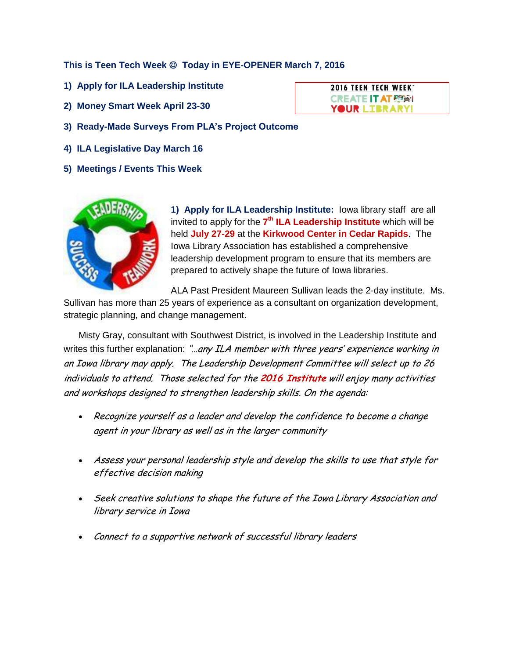**This is Teen Tech Week**  $\odot$  **Today in EYE-OPENER March 7, 2016** 

- **1) Apply for ILA Leadership Institute**
- **2) Money Smart Week April 23-30**
- **3) Ready-Made Surveys From PLA's Project Outcome**
- **4) ILA Legislative Day March 16**
- **5) Meetings / Events This Week**



**1) Apply for ILA Leadership Institute:** Iowa library staff are all invited to apply for the **7 th ILA Leadership Institute** which will be held **July 27-29** at the **Kirkwood Center in Cedar Rapids**. The Iowa Library Association has established a comprehensive leadership development program to ensure that its members are prepared to actively shape the future of Iowa libraries.

ALA Past President Maureen Sullivan leads the 2-day institute. Ms.

Sullivan has more than 25 years of experience as a consultant on organization development, strategic planning, and change management.

Misty Gray, consultant with Southwest District, is involved in the Leadership Institute and writes this further explanation: "... any ILA member with three years' experience working in an Iowa library may apply. The Leadership Development Committee will select up to 26 individuals to attend. Those selected for the **2016 Institute** will enjoy many activities and workshops designed to strengthen leadership skills. On the agenda:

- Recognize yourself as a leader and develop the confidence to become a change agent in your library as well as in the larger community
- Assess your personal leadership style and develop the skills to use that style for effective decision making
- Seek creative solutions to shape the future of the Iowa Library Association and library service in Iowa
- Connect to a supportive network of successful library leaders

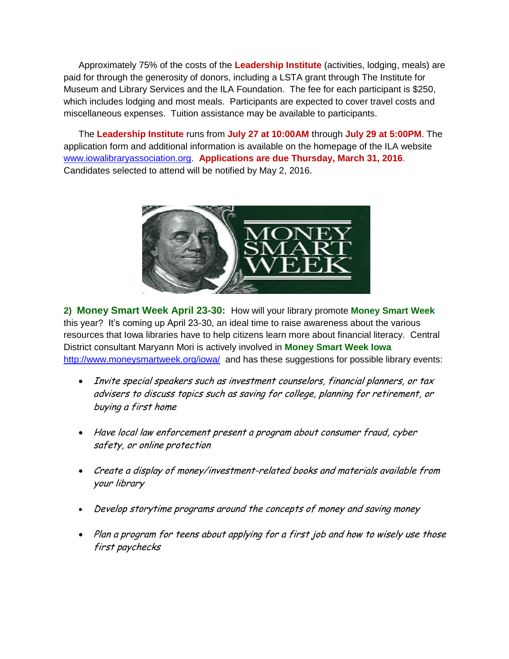Approximately 75% of the costs of the **Leadership Institute** (activities, lodging, meals) are paid for through the generosity of donors, including a LSTA grant through The Institute for Museum and Library Services and the ILA Foundation. The fee for each participant is \$250, which includes lodging and most meals. Participants are expected to cover travel costs and miscellaneous expenses. Tuition assistance may be available to participants.

The **Leadership Institute** runs from **July 27 at 10:00AM** through **July 29 at 5:00PM**. The application form and additional information is available on the homepage of the ILA website [www.iowalibraryassociation.org.](http://www.iowalibraryassociation.org/) **Applications are due Thursday, March 31, 2016**. Candidates selected to attend will be notified by May 2, 2016.



**2) Money Smart Week April 23-30:** How will your library promote **Money Smart Week** this year? It's coming up April 23-30, an ideal time to raise awareness about the various resources that Iowa libraries have to help citizens learn more about financial literacy. Central District consultant Maryann Mori is actively involved in **Money Smart Week Iowa** <http://www.moneysmartweek.org/iowa/>and has these suggestions for possible library events:

- Invite special speakers such as investment counselors, financial planners, or tax advisers to discuss topics such as saving for college, planning for retirement, or buying a first home
- Have local law enforcement present a program about consumer fraud, cyber safety, or online protection
- Create a display of money/investment-related books and materials available from your library
- Develop storytime programs around the concepts of money and saving money
- Plan a program for teens about applying for a first job and how to wisely use those first paychecks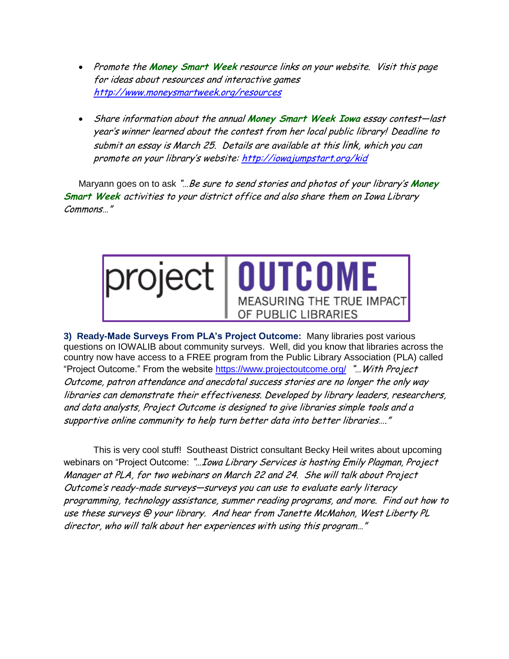- Promote the Money Smart Week resource links on your website. Visit this page for ideas about resources and interactive games <http://www.moneysmartweek.org/resources>
- Share information about the annual **Money Smart Week Iowa** essay contest—last year's winner learned about the contest from her local public library! Deadline to submit an essay is March 25. Details are available at this link, which you can promote on your library's website: <http://iowajumpstart.org/kid>

Maryann goes on to ask "…Be sure to send stories and photos of your library's **Money Smart Week** activities to your district office and also share them on Iowa Library Commons…"



**3) Ready-Made Surveys From PLA's Project Outcome:** Many libraries post various questions on IOWALIB about community surveys. Well, did you know that libraries across the country now have access to a FREE program from the Public Library Association (PLA) called "Project Outcome." From the website<https://www.projectoutcome.org/>"... With Project Outcome, patron attendance and anecdotal success stories are no longer the only way libraries can demonstrate their effectiveness. Developed by library leaders, researchers, and data analysts, Project Outcome is designed to give libraries simple tools and a supportive online community to help turn better data into better libraries…."

This is very cool stuff! Southeast District consultant Becky Heil writes about upcoming webinars on "Project Outcome: "... Iowa Library Services is hosting Emily Plagman, Project Manager at PLA, for two webinars on March 22 and 24. She will talk about Project Outcome's ready-made surveys—surveys you can use to evaluate early literacy programming, technology assistance, summer reading programs, and more. Find out how to use these surveys @ your library. And hear from Janette McMahon, West Liberty PL director, who will talk about her experiences with using this program…"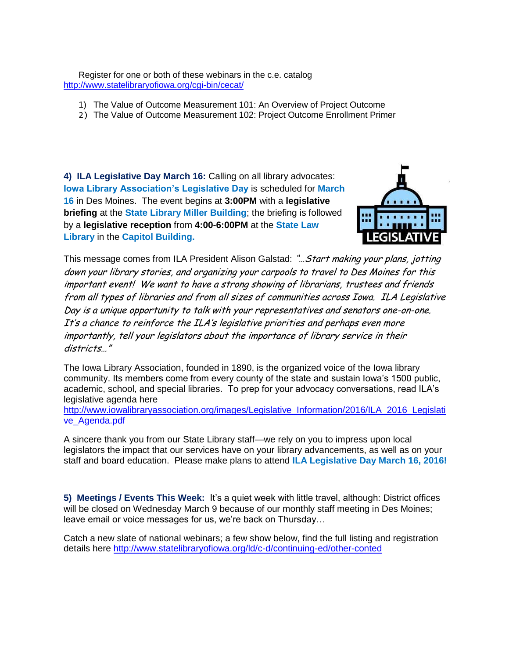Register for one or both of these webinars in the c.e. catalog <http://www.statelibraryofiowa.org/cgi-bin/cecat/>

- 1) The Value of Outcome Measurement 101: An Overview of Project Outcome
- 2) The Value of Outcome Measurement 102: Project Outcome Enrollment Primer

**4) ILA Legislative Day March 16:** Calling on all library advocates: **Iowa Library Association's Legislative Day** is scheduled for **March 16** in Des Moines. The event begins at **3:00PM** with a **legislative briefing** at the **State Library Miller Building**; the briefing is followed by a **legislative reception** from **4:00-6:00PM** at the **State Law Library** in the **Capitol Building.** 



This message comes from ILA President Alison Galstad: "... Start making your plans, jotting down your library stories, and organizing your carpools to travel to Des Moines for this important event! We want to have a strong showing of librarians, trustees and friends from all types of libraries and from all sizes of communities across Iowa. ILA Legislative Day is a unique opportunity to talk with your representatives and senators one-on-one. It's a chance to reinforce the ILA's legislative priorities and perhaps even more importantly, tell your legislators about the importance of library service in their districts…"

The Iowa Library Association, founded in 1890, is the organized voice of the Iowa library community. Its members come from every county of the state and sustain Iowa's 1500 public, academic, school, and special libraries. To prep for your advocacy conversations, read ILA's legislative agenda here

[http://www.iowalibraryassociation.org/images/Legislative\\_Information/2016/ILA\\_2016\\_Legislati](http://www.iowalibraryassociation.org/images/Legislative_Information/2016/ILA_2016_Legislative_Agenda.pdf) [ve\\_Agenda.pdf](http://www.iowalibraryassociation.org/images/Legislative_Information/2016/ILA_2016_Legislative_Agenda.pdf)

A sincere thank you from our State Library staff—we rely on you to impress upon local legislators the impact that our services have on your library advancements, as well as on your staff and board education. Please make plans to attend **ILA Legislative Day March 16, 2016!**

**5) Meetings / Events This Week:** It's a quiet week with little travel, although: District offices will be closed on Wednesday March 9 because of our monthly staff meeting in Des Moines; leave email or voice messages for us, we're back on Thursday…

Catch a new slate of national webinars; a few show below, find the full listing and registration details here<http://www.statelibraryofiowa.org/ld/c-d/continuing-ed/other-conted>